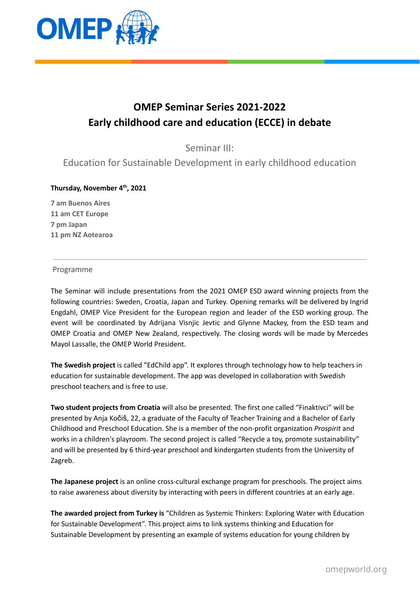

# **OMEP Seminar Series 2021-2022 Early childhood care and education (ECCE) in debate**

Seminar III:

Education for Sustainable Development in early childhood education

## **Thursday, November 4 th , 2021**

 **am Buenos Aires am CET Europe 7 pm Japan pm NZ Aotearoa**

## Programme

The Seminar will include presentations from the 2021 OMEP ESD award winning projects from the following countries: Sweden, Croatia, Japan and Turkey. Opening remarks will be delivered by Ingrid Engdahl, OMEP Vice President for the European region and leader of the ESD working group. The event will be coordinated by Adrijana Visnjic Jevtic and Glynne Mackey, from the ESD team and OMEP Croatia and OMEP New Zealand, respectively. The closing words will be made by Mercedes Mayol Lassalle, the OMEP World President.

**The Swedish project** is called "EdChild app". It explores through technology how to help teachers in education for sustainable development. The app was developed in collaboration with Swedish preschool teachers and is free to use.

**Two student projects from Croatia** will also be presented. The first one called "Finaktivci" will be presented by Anja Kočiš, 22, a graduate of the Faculty of Teacher Training and a Bachelor of Early Childhood and Preschool Education. She is a member of the non-profit organization *Prospirit* and works in a children's playroom. The second project is called "Recycle a toy, promote sustainability" and will be presented by 6 third-year preschool and kindergarten students from the University of Zagreb.

**The Japanese project** is an online cross-cultural exchange program for preschools. The project aims to raise awareness about diversity by interacting with peers in different countries at an early age.

**The awarded project from Turkey is** "Children as Systemic Thinkers: Exploring Water with Education for Sustainable Development". This project aims to link systems thinking and Education for Sustainable Development by presenting an example of systems education for young children by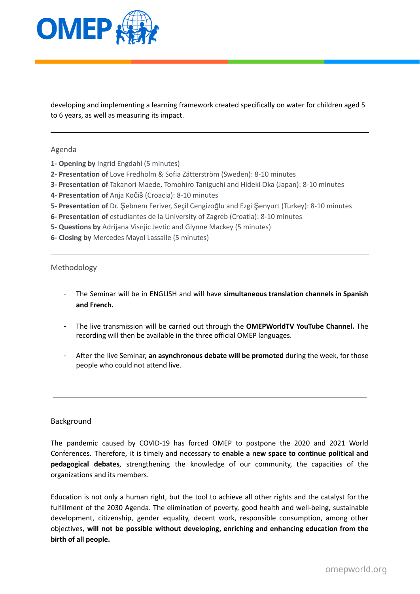

developing and implementing a learning framework created specifically on water for children aged 5 to 6 years, as well as measuring its impact.

## Agenda

- **1- Opening by** Ingrid Engdahl (5 minutes)
- **2- Presentation of** Love Fredholm & Sofia Zätterström (Sweden): 8-10 minutes
- **3- Presentation of** Takanori Maede, Tomohiro Taniguchi and Hideki Oka (Japan): 8-10 minutes
- **4- Presentation of** Anja Kočiš (Croacia): 8-10 minutes
- **5- Presentation of** Dr. Şebnem Feriver, Seçil Cengizoğlu and Ezgi Şenyurt (Turkey): 8-10 minutes
- **6- Presentation of** estudiantes de la University of Zagreb (Croatia): 8-10 minutes
- **5- Questions by** Adrijana Visnjic Jevtic and Glynne Mackey (5 minutes)
- **6- Closing by** Mercedes Mayol Lassalle (5 minutes)

#### Methodology

- The Seminar will be in ENGLISH and will have **simultaneous translation channels in Spanish and French.**
- The live transmission will be carried out through the **OMEPWorldTV YouTube Channel.** The recording will then be available in the three official OMEP languages.
- After the live Seminar, **an asynchronous debate will be promoted** during the week, for those people who could not attend live.

#### Background

The pandemic caused by COVID-19 has forced OMEP to postpone the 2020 and 2021 World Conferences. Therefore, it is timely and necessary to **enable a new space to continue political and pedagogical debates**, strengthening the knowledge of our community, the capacities of the organizations and its members.

Education is not only a human right, but the tool to achieve all other rights and the catalyst for the fulfillment of the 2030 Agenda. The elimination of poverty, good health and well-being, sustainable development, citizenship, gender equality, decent work, responsible consumption, among other objectives, **will not be possible without developing, enriching and enhancing education from the birth of all people.**